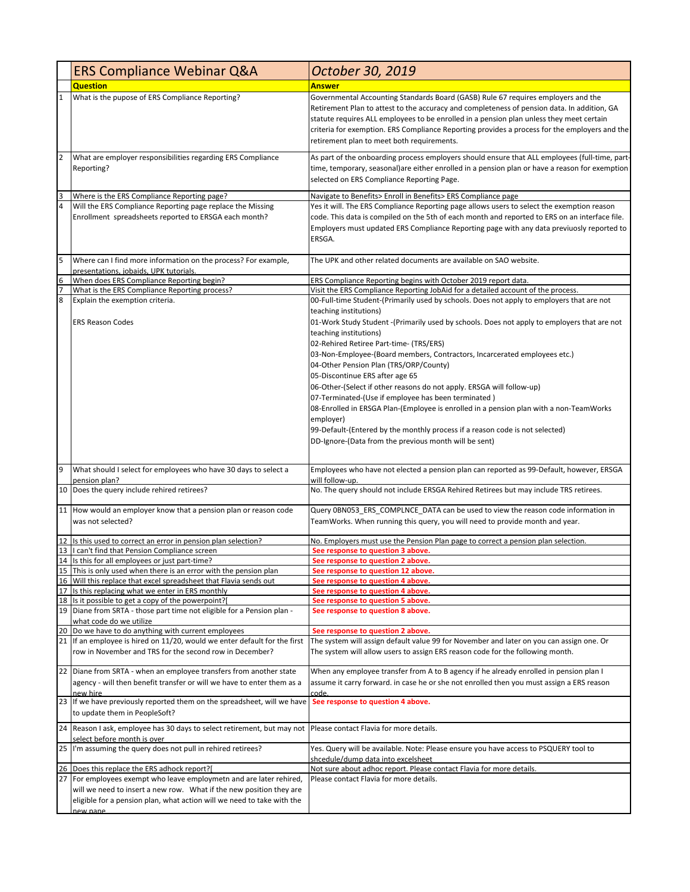|    | <b>ERS Compliance Webinar Q&amp;A</b>                                                                                      | October 30, 2019                                                                                                                                                                                                                                                                                                                                                                                                                                                                                                                                                                                                                                                                                                                                                                                                                   |
|----|----------------------------------------------------------------------------------------------------------------------------|------------------------------------------------------------------------------------------------------------------------------------------------------------------------------------------------------------------------------------------------------------------------------------------------------------------------------------------------------------------------------------------------------------------------------------------------------------------------------------------------------------------------------------------------------------------------------------------------------------------------------------------------------------------------------------------------------------------------------------------------------------------------------------------------------------------------------------|
|    | <b>Question</b>                                                                                                            | Answer                                                                                                                                                                                                                                                                                                                                                                                                                                                                                                                                                                                                                                                                                                                                                                                                                             |
| 1  | What is the pupose of ERS Compliance Reporting?                                                                            | Governmental Accounting Standards Board (GASB) Rule 67 requires employers and the<br>Retirement Plan to attest to the accuracy and completeness of pension data. In addition, GA<br>statute requires ALL employees to be enrolled in a pension plan unless they meet certain<br>criteria for exemption. ERS Compliance Reporting provides a process for the employers and the<br>retirement plan to meet both requirements.                                                                                                                                                                                                                                                                                                                                                                                                        |
| 2  | What are employer responsibilities regarding ERS Compliance<br>Reporting?                                                  | As part of the onboarding process employers should ensure that ALL employees (full-time, part-<br>time, temporary, seasonal)are either enrolled in a pension plan or have a reason for exemption<br>selected on ERS Compliance Reporting Page.                                                                                                                                                                                                                                                                                                                                                                                                                                                                                                                                                                                     |
|    | Where is the ERS Compliance Reporting page?                                                                                | Navigate to Benefits> Enroll in Benefits> ERS Compliance page                                                                                                                                                                                                                                                                                                                                                                                                                                                                                                                                                                                                                                                                                                                                                                      |
|    | Will the ERS Compliance Reporting page replace the Missing<br>Enrollment spreadsheets reported to ERSGA each month?        | Yes it will. The ERS Compliance Reporting page allows users to select the exemption reason<br>code. This data is compiled on the 5th of each month and reported to ERS on an interface file.<br>Employers must updated ERS Compliance Reporting page with any data previuosly reported to<br>ERSGA.                                                                                                                                                                                                                                                                                                                                                                                                                                                                                                                                |
| 5  | Where can I find more information on the process? For example,<br>presentations, jobaids, UPK tutorials.                   | The UPK and other related documents are available on SAO website.                                                                                                                                                                                                                                                                                                                                                                                                                                                                                                                                                                                                                                                                                                                                                                  |
| 6  | When does ERS Compliance Reporting begin?                                                                                  | ERS Compliance Reporting begins with October 2019 report data.                                                                                                                                                                                                                                                                                                                                                                                                                                                                                                                                                                                                                                                                                                                                                                     |
|    | What is the ERS Compliance Reporting process?                                                                              | Visit the ERS Compliance Reporting JobAid for a detailed account of the process.                                                                                                                                                                                                                                                                                                                                                                                                                                                                                                                                                                                                                                                                                                                                                   |
| 8  | Explain the exemption criteria.<br><b>ERS Reason Codes</b>                                                                 | 00-Full-time Student-(Primarily used by schools. Does not apply to employers that are not<br>teaching institutions)<br>01-Work Study Student - (Primarily used by schools. Does not apply to employers that are not<br>teaching institutions)<br>02-Rehired Retiree Part-time- (TRS/ERS)<br>03-Non-Employee-(Board members, Contractors, Incarcerated employees etc.)<br>04-Other Pension Plan (TRS/ORP/County)<br>05-Discontinue ERS after age 65<br>06-Other-(Select if other reasons do not apply. ERSGA will follow-up)<br>07-Terminated-(Use if employee has been terminated)<br>08-Enrolled in ERSGA Plan-(Employee is enrolled in a pension plan with a non-TeamWorks<br>employer)<br>99-Default-(Entered by the monthly process if a reason code is not selected)<br>DD-Ignore-(Data from the previous month will be sent) |
| 9  | What should I select for employees who have 30 days to select a<br>pension plan?                                           | Employees who have not elected a pension plan can reported as 99-Default, however, ERSGA<br>will follow-up.                                                                                                                                                                                                                                                                                                                                                                                                                                                                                                                                                                                                                                                                                                                        |
|    | 10 Does the query include rehired retirees?                                                                                | No. The query should not include ERSGA Rehired Retirees but may include TRS retirees.                                                                                                                                                                                                                                                                                                                                                                                                                                                                                                                                                                                                                                                                                                                                              |
|    | 11 How would an employer know that a pension plan or reason code<br>was not selected?                                      | Query 0BN053 ERS COMPLNCE DATA can be used to view the reason code information in<br>TeamWorks. When running this query, you will need to provide month and year.                                                                                                                                                                                                                                                                                                                                                                                                                                                                                                                                                                                                                                                                  |
| 12 | Is this used to correct an error in pension plan selection?                                                                | No. Employers must use the Pension Plan page to correct a pension plan selection.                                                                                                                                                                                                                                                                                                                                                                                                                                                                                                                                                                                                                                                                                                                                                  |
| 13 | I can't find that Pension Compliance screen<br>14 Is this for all employees or just part-time?                             | See response to question 3 above.<br>See response to question 2 above.                                                                                                                                                                                                                                                                                                                                                                                                                                                                                                                                                                                                                                                                                                                                                             |
| 15 | This is only used when there is an error with the pension plan                                                             | See response to question 12 above.                                                                                                                                                                                                                                                                                                                                                                                                                                                                                                                                                                                                                                                                                                                                                                                                 |
| 16 | Will this replace that excel spreadsheet that Flavia sends out                                                             | See response to question 4 above.                                                                                                                                                                                                                                                                                                                                                                                                                                                                                                                                                                                                                                                                                                                                                                                                  |
| 17 | Is this replacing what we enter in ERS monthly                                                                             | See response to question 4 above.                                                                                                                                                                                                                                                                                                                                                                                                                                                                                                                                                                                                                                                                                                                                                                                                  |
| 18 | Is it possible to get a copy of the powerpoint?[<br>19 Diane from SRTA - those part time not eligible for a Pension plan - | See response to question 5 above.<br>See response to question 8 above.                                                                                                                                                                                                                                                                                                                                                                                                                                                                                                                                                                                                                                                                                                                                                             |
|    | what code do we utilize                                                                                                    |                                                                                                                                                                                                                                                                                                                                                                                                                                                                                                                                                                                                                                                                                                                                                                                                                                    |
| 20 | Do we have to do anything with current employees                                                                           | See response to question 2 above.                                                                                                                                                                                                                                                                                                                                                                                                                                                                                                                                                                                                                                                                                                                                                                                                  |
|    | 21 If an employee is hired on 11/20, would we enter default for the first                                                  | The system will assign default value 99 for November and later on you can assign one. Or                                                                                                                                                                                                                                                                                                                                                                                                                                                                                                                                                                                                                                                                                                                                           |
|    | row in November and TRS for the second row in December?                                                                    | The system will allow users to assign ERS reason code for the following month.                                                                                                                                                                                                                                                                                                                                                                                                                                                                                                                                                                                                                                                                                                                                                     |
|    | 22 Diane from SRTA - when an employee transfers from another state                                                         | When any employee transfer from A to B agency if he already enrolled in pension plan I                                                                                                                                                                                                                                                                                                                                                                                                                                                                                                                                                                                                                                                                                                                                             |
|    | agency - will then benefit transfer or will we have to enter them as a<br>new hire                                         | assume it carry forward. in case he or she not enrolled then you must assign a ERS reason<br>code.                                                                                                                                                                                                                                                                                                                                                                                                                                                                                                                                                                                                                                                                                                                                 |
|    | 23 If we have previously reported them on the spreadsheet, will we have<br>to update them in PeopleSoft?                   | See response to question 4 above.                                                                                                                                                                                                                                                                                                                                                                                                                                                                                                                                                                                                                                                                                                                                                                                                  |
|    | 24 Reason I ask, employee has 30 days to select retirement, but may not                                                    | Please contact Flavia for more details.                                                                                                                                                                                                                                                                                                                                                                                                                                                                                                                                                                                                                                                                                                                                                                                            |
| 25 | select before month is over<br>I'm assuming the query does not pull in rehired retirees?                                   | Yes. Query will be available. Note: Please ensure you have access to PSQUERY tool to<br>shcedule/dump data into excelsheet                                                                                                                                                                                                                                                                                                                                                                                                                                                                                                                                                                                                                                                                                                         |
|    | 26 Does this replace the ERS adhock report?[                                                                               | Not sure about adhoc report. Please contact Flavia for more details.                                                                                                                                                                                                                                                                                                                                                                                                                                                                                                                                                                                                                                                                                                                                                               |
| 27 | For employees exempt who leave employmetn and are later rehired,                                                           | Please contact Flavia for more details.                                                                                                                                                                                                                                                                                                                                                                                                                                                                                                                                                                                                                                                                                                                                                                                            |
|    | will we need to insert a new row. What if the new position they are                                                        |                                                                                                                                                                                                                                                                                                                                                                                                                                                                                                                                                                                                                                                                                                                                                                                                                                    |
|    | eligible for a pension plan, what action will we need to take with the                                                     |                                                                                                                                                                                                                                                                                                                                                                                                                                                                                                                                                                                                                                                                                                                                                                                                                                    |
|    | new nane                                                                                                                   |                                                                                                                                                                                                                                                                                                                                                                                                                                                                                                                                                                                                                                                                                                                                                                                                                                    |